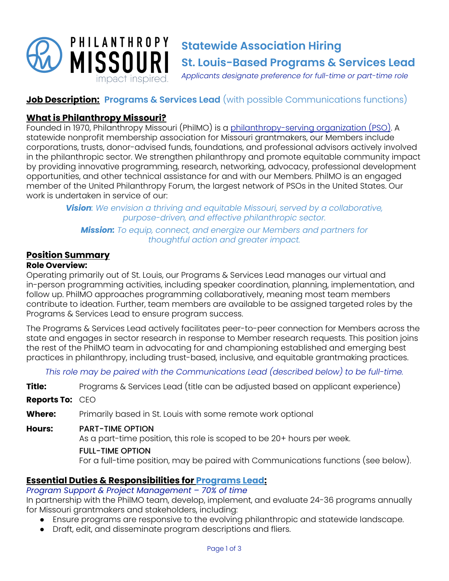

# **Job Description: Programs & Services Lead** (with possible Communications functions)

# **What is Philanthropy Missouri?**

Founded in 1970, Philanthropy Missouri (PhilMO) is a [philanthropy-serving](https://www.insidephilanthropy.com/explainers/what-is-a-philanthropy-serving-organization) organization (PSO). A statewide nonprofit membership association for Missouri grantmakers, our Members include corporations, trusts, donor-advised funds, foundations, and professional advisors actively involved in the philanthropic sector. We strengthen philanthropy and promote equitable community impact by providing innovative programming, research, networking, advocacy, professional development opportunities, and other technical assistance for and with our Members. PhilMO is an engaged member of the United Philanthropy Forum, the largest network of PSOs in the United States. Our work is undertaken in service of our:

> *Vision: We envision a thriving and equitable Missouri, served by a collaborative, purpose-driven, and effective philanthropic sector.*

*Mission: To equip, connect, and energize our Members and partners for thoughtful action and greater impact.*

# **Position Summary**

### **Role Overview:**

Operating primarily out of St. Louis, our Programs & Services Lead manages our virtual and in-person programming activities, including speaker coordination, planning, implementation, and follow up. PhilMO approaches programming collaboratively, meaning most team members contribute to ideation. Further, team members are available to be assigned targeted roles by the Programs & Services Lead to ensure program success.

The Programs & Services Lead actively facilitates peer-to-peer connection for Members across the state and engages in sector research in response to Member research requests. This position joins the rest of the PhilMO team in advocating for and championing established and emerging best practices in philanthropy, including trust-based, inclusive, and equitable grantmaking practices.

*This role may be paired with the Communications Lead (described below) to be full-time.*

**Title:** Programs & Services Lead (title can be adjusted based on applicant experience)

### **Reports To:** CEO

**Where:** Primarily based in St. Louis with some remote work optional

### **Hours:** PART-TIME OPTION

As a part-time position, this role is scoped to be 20+ hours per week.

#### FULL-TIME OPTION

For a full-time position, may be paired with Communications functions (see below).

## **Essential Duties & Responsibilities for Programs Lead:**

# *Program Support & Project Management – 70% of time*

In partnership with the PhilMO team, develop, implement, and evaluate 24-36 programs annually for Missouri grantmakers and stakeholders, including:

- Ensure programs are responsive to the evolving philanthropic and statewide landscape.
- Draft, edit, and disseminate program descriptions and fliers.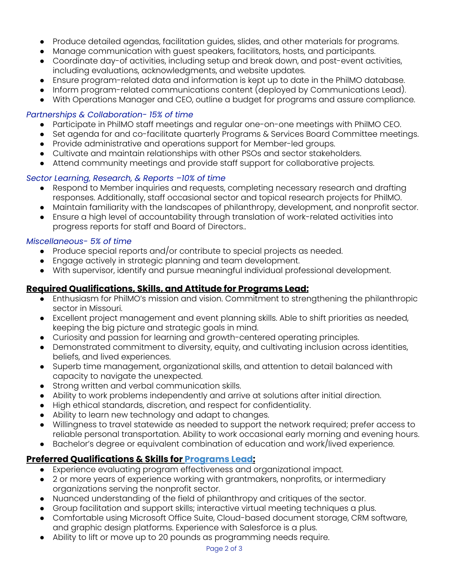- Produce detailed agendas, facilitation guides, slides, and other materials for programs.
- Manage communication with guest speakers, facilitators, hosts, and participants.
- Coordinate day-of activities, including setup and break down, and post-event activities, including evaluations, acknowledgments, and website updates.
- Ensure program-related data and information is kept up to date in the PhilMO database.
- Inform program-related communications content (deployed by Communications Lead).
- With Operations Manager and CEO, outline a budget for programs and assure compliance.

### *Partnerships & Collaboration- 15% of time*

- Participate in PhilMO staff meetings and regular one-on-one meetings with PhilMO CEO.
- Set agenda for and co-facilitate quarterly Programs & Services Board Committee meetings.
- Provide administrative and operations support for Member-led groups.
- Cultivate and maintain relationships with other PSOs and sector stakeholders.
- Attend community meetings and provide staff support for collaborative projects.

## *Sector Learning, Research, & Reports –10% of time*

- Respond to Member inquiries and requests, completing necessary research and drafting responses. Additionally, staff occasional sector and topical research projects for PhilMO.
- Maintain familiarity with the landscapes of philanthropy, development, and nonprofit sector.
- Ensure a high level of accountability through translation of work-related activities into progress reports for staff and Board of Directors..

### *Miscellaneous- 5% of time*

- Produce special reports and/or contribute to special projects as needed.
- Engage actively in strategic planning and team development.
- With supervisor, identify and pursue meaningful individual professional development.

# **Required Qualifications, Skills, and Attitude for Programs Lead:**

- Enthusiasm for PhilMO's mission and vision. Commitment to strengthening the philanthropic sector in Missouri.
- Excellent project management and event planning skills. Able to shift priorities as needed, keeping the big picture and strategic goals in mind.
- Curiosity and passion for learning and growth-centered operating principles.
- Demonstrated commitment to diversity, equity, and cultivating inclusion across identities, beliefs, and lived experiences.
- Superb time management, organizational skills, and attention to detail balanced with capacity to navigate the unexpected.
- Strong written and verbal communication skills.
- Ability to work problems independently and arrive at solutions after initial direction.
- High ethical standards, discretion, and respect for confidentiality.
- Ability to learn new technology and adapt to changes.
- Willingness to travel statewide as needed to support the network required; prefer access to reliable personal transportation. Ability to work occasional early morning and evening hours.
- Bachelor's degree or equivalent combination of education and work/lived experience.

# **Preferred Qualifications & Skills for Programs Lead:**

- Experience evaluating program effectiveness and organizational impact.
- 2 or more years of experience working with grantmakers, nonprofits, or intermediary organizations serving the nonprofit sector.
- Nuanced understanding of the field of philanthropy and critiques of the sector.
- Group facilitation and support skills; interactive virtual meeting techniques a plus.
- Comfortable using Microsoft Office Suite, Cloud-based document storage, CRM software, and graphic design platforms. Experience with Salesforce is a plus.
- Ability to lift or move up to 20 pounds as programming needs require.